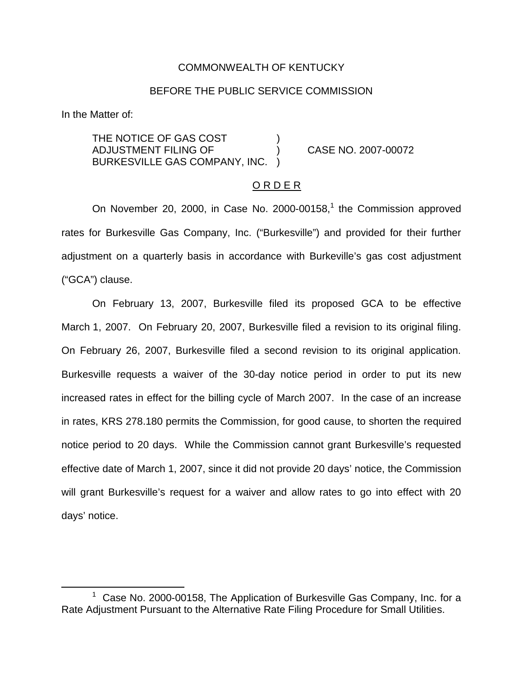#### COMMONWEALTH OF KENTUCKY

#### BEFORE THE PUBLIC SERVICE COMMISSION

In the Matter of:

THE NOTICE OF GAS COST ADJUSTMENT FILING OF ) CASE NO. 2007-00072 BURKESVILLE GAS COMPANY, INC. )

### <u>O R D E R</u>

On November 20, 2000, in Case No. 2000-00158, $<sup>1</sup>$  the Commission approved</sup> rates for Burkesville Gas Company, Inc. ("Burkesville") and provided for their further adjustment on a quarterly basis in accordance with Burkeville's gas cost adjustment ("GCA") clause.

On February 13, 2007, Burkesville filed its proposed GCA to be effective March 1, 2007. On February 20, 2007, Burkesville filed a revision to its original filing. On February 26, 2007, Burkesville filed a second revision to its original application. Burkesville requests a waiver of the 30-day notice period in order to put its new increased rates in effect for the billing cycle of March 2007. In the case of an increase in rates, KRS 278.180 permits the Commission, for good cause, to shorten the required notice period to 20 days. While the Commission cannot grant Burkesville's requested effective date of March 1, 2007, since it did not provide 20 days' notice, the Commission will grant Burkesville's request for a waiver and allow rates to go into effect with 20 days' notice.

 $1$  Case No. 2000-00158, The Application of Burkesville Gas Company, Inc. for a Rate Adjustment Pursuant to the Alternative Rate Filing Procedure for Small Utilities.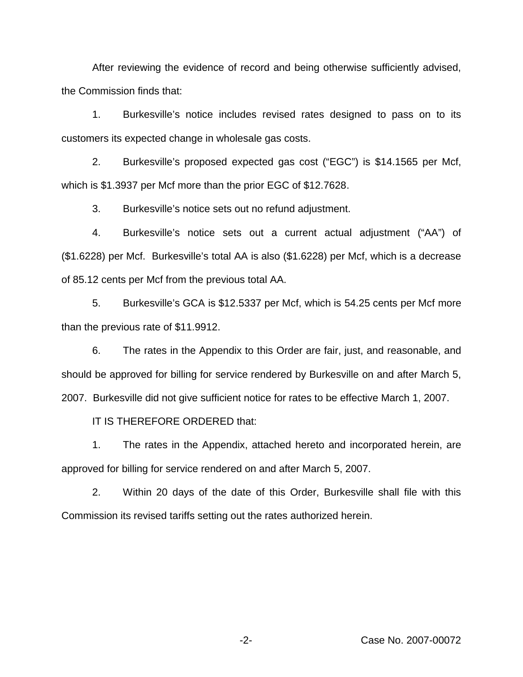After reviewing the evidence of record and being otherwise sufficiently advised, the Commission finds that:

1. Burkesville's notice includes revised rates designed to pass on to its customers its expected change in wholesale gas costs.

2. Burkesville's proposed expected gas cost ("EGC") is \$14.1565 per Mcf, which is \$1.3937 per Mcf more than the prior EGC of \$12.7628.

3. Burkesville's notice sets out no refund adjustment.

4. Burkesville's notice sets out a current actual adjustment ("AA") of (\$1.6228) per Mcf. Burkesville's total AA is also (\$1.6228) per Mcf, which is a decrease of 85.12 cents per Mcf from the previous total AA.

5. Burkesville's GCA is \$12.5337 per Mcf, which is 54.25 cents per Mcf more than the previous rate of \$11.9912.

6. The rates in the Appendix to this Order are fair, just, and reasonable, and should be approved for billing for service rendered by Burkesville on and after March 5, 2007. Burkesville did not give sufficient notice for rates to be effective March 1, 2007.

IT IS THEREFORE ORDERED that:

1. The rates in the Appendix, attached hereto and incorporated herein, are approved for billing for service rendered on and after March 5, 2007.

2. Within 20 days of the date of this Order, Burkesville shall file with this Commission its revised tariffs setting out the rates authorized herein.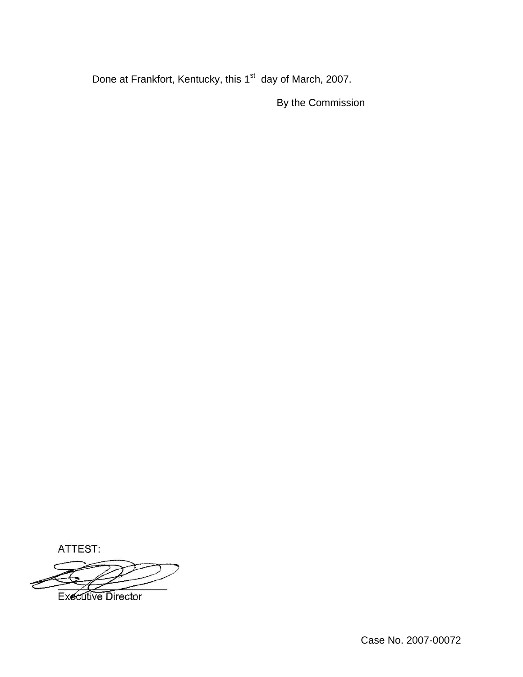Done at Frankfort, Kentucky, this 1<sup>st</sup> day of March, 2007.

By the Commission

ATTEST:

**Executive Director**